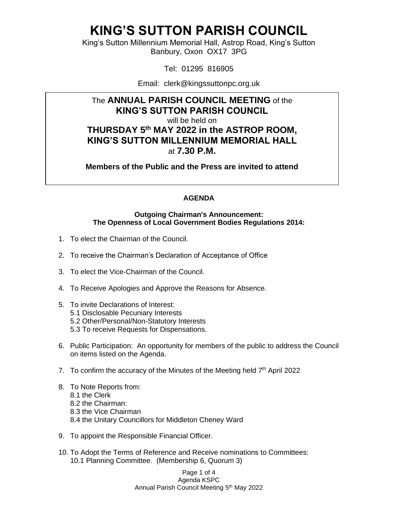King's Sutton Millennium Memorial Hall, Astrop Road, King's Sutton Banbury, Oxon OX17 3PG

Tel: 01295 816905

Email: clerk@kingssuttonpc.org.uk

### The **ANNUAL PARISH COUNCIL MEETING** of the **KING'S SUTTON PARISH COUNCIL** will be held on **THURSDAY 5 th MAY 2022 in the ASTROP ROOM, KING'S SUTTON MILLENNIUM MEMORIAL HALL** at **7.30 P.M.**

**Members of the Public and the Press are invited to attend** 

#### **AGENDA**

#### **Outgoing Chairman's Announcement: The Openness of Local Government Bodies Regulations 2014:**

- 1. To elect the Chairman of the Council.
- 2. To receive the Chairman's Declaration of Acceptance of Office
- 3. To elect the Vice-Chairman of the Council.
- 4. To Receive Apologies and Approve the Reasons for Absence.
- 5. To invite Declarations of Interest:
	- 5.1 Disclosable Pecuniary Interests
	- 5.2 Other/Personal/Non-Statutory Interests
	- 5.3 To receive Requests for Dispensations.
- 6. Public Participation: An opportunity for members of the public to address the Council on items listed on the Agenda.
- 7. To confirm the accuracy of the Minutes of the Meeting held  $7<sup>th</sup>$  April 2022
- 8. To Note Reports from: 8.1 the Clerk 8.2 the Chairman: 8.3 the Vice Chairman 8.4 the Unitary Councillors for Middleton Cheney Ward
- 9. To appoint the Responsible Financial Officer.
- 10. To Adopt the Terms of Reference and Receive nominations to Committees: 10.1 Planning Committee. (Membership 6, Quorum 3)

Page 1 of 4 Agenda KSPC Annual Parish Council Meeting 5<sup>th</sup> May 2022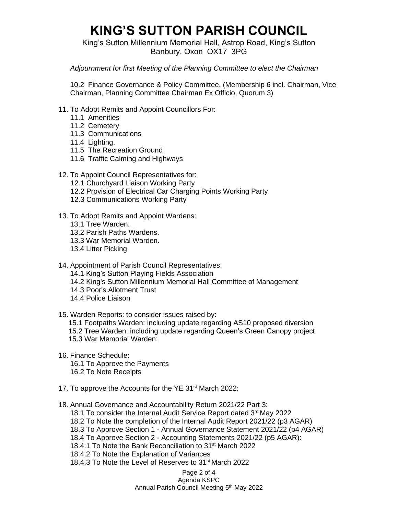King's Sutton Millennium Memorial Hall, Astrop Road, King's Sutton Banbury, Oxon OX17 3PG

#### *Adjournment for first Meeting of the Planning Committee to elect the Chairman*

10.2 Finance Governance & Policy Committee. (Membership 6 incl. Chairman, Vice Chairman, Planning Committee Chairman Ex Officio, Quorum 3)

- 11. To Adopt Remits and Appoint Councillors For:
	- 11.1 Amenities
	- 11.2 Cemetery
	- 11.3 Communications
	- 11.4 Lighting.
	- 11.5 The Recreation Ground
	- 11.6 Traffic Calming and Highways
- 12. To Appoint Council Representatives for:
	- 12.1 Churchyard Liaison Working Party
	- 12.2 Provision of Electrical Car Charging Points Working Party
	- 12.3 Communications Working Party
- 13. To Adopt Remits and Appoint Wardens:
	- 13.1 Tree Warden.
	- 13.2 Parish Paths Wardens.
	- 13.3 War Memorial Warden.
	- 13.4 Litter Picking
- 14. Appointment of Parish Council Representatives:
	- 14.1 King's Sutton Playing Fields Association
	- 14.2 King's Sutton Millennium Memorial Hall Committee of Management
	- 14.3 Poor's Allotment Trust
	- 14.4 Police Liaison
- 15. Warden Reports: to consider issues raised by:
	- 15.1 Footpaths Warden: including update regarding AS10 proposed diversion 15.2 Tree Warden: including update regarding Queen's Green Canopy project 15.3 War Memorial Warden:
- 16. Finance Schedule:
	- 16.1 To Approve the Payments
	- 16.2 To Note Receipts
- 17. To approve the Accounts for the YE 31<sup>st</sup> March 2022:
- 18. Annual Governance and Accountability Return 2021/22 Part 3:
	- 18.1 To consider the Internal Audit Service Report dated 3rd May 2022
	- 18.2 To Note the completion of the Internal Audit Report 2021/22 (p3 AGAR)
	- 18.3 To Approve Section 1 Annual Governance Statement 2021/22 (p4 AGAR)
	- 18.4 To Approve Section 2 Accounting Statements 2021/22 (p5 AGAR):
	- 18.4.1 To Note the Bank Reconciliation to 31st March 2022
	- 18.4.2 To Note the Explanation of Variances
	- 18.4.3 To Note the Level of Reserves to 31st March 2022

#### Page 2 of 4

Agenda KSPC Annual Parish Council Meeting 5<sup>th</sup> May 2022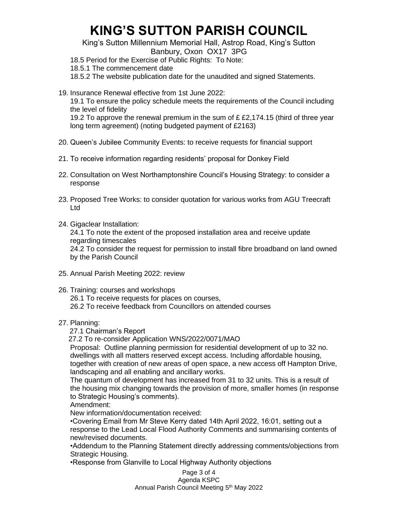King's Sutton Millennium Memorial Hall, Astrop Road, King's Sutton Banbury, Oxon OX17 3PG

18.5 Period for the Exercise of Public Rights: To Note:

18.5.1 The commencement date

18.5.2 The website publication date for the unaudited and signed Statements.

19. Insurance Renewal effective from 1st June 2022:

19.1 To ensure the policy schedule meets the requirements of the Council including the level of fidelity

19.2 To approve the renewal premium in the sum of £ £2,174.15 (third of three year long term agreement) (noting budgeted payment of £2163)

- 20. Queen's Jubilee Community Events: to receive requests for financial support
- 21. To receive information regarding residents' proposal for Donkey Field
- 22. Consultation on West Northamptonshire Council's Housing Strategy: to consider a response
- 23. Proposed Tree Works: to consider quotation for various works from AGU Treecraft Ltd
- 24. Gigaclear Installation:

24.1 To note the extent of the proposed installation area and receive update regarding timescales 24.2 To consider the request for permission to install fibre broadband on land owned by the Parish Council

- 25. Annual Parish Meeting 2022: review
- 26. Training: courses and workshops 26.1 To receive requests for places on courses, 26.2 To receive feedback from Councillors on attended courses
- 27. Planning:

27.1 Chairman's Report

27.2 To re-consider Application WNS/2022/0071/MAO

Proposal: Outline planning permission for residential development of up to 32 no. dwellings with all matters reserved except access. Including affordable housing, together with creation of new areas of open space, a new access off Hampton Drive, landscaping and all enabling and ancillary works.

The quantum of development has increased from 31 to 32 units. This is a result of the housing mix changing towards the provision of more, smaller homes (in response to Strategic Housing's comments).

Amendment:

New information/documentation received:

•Covering Email from Mr Steve Kerry dated 14th April 2022, 16:01, setting out a response to the Lead Local Flood Authority Comments and summarising contents of new/revised documents.

•Addendum to the Planning Statement directly addressing comments/objections from Strategic Housing.

•Response from Glanville to Local Highway Authority objections

Page 3 of 4 Agenda KSPC Annual Parish Council Meeting 5<sup>th</sup> May 2022